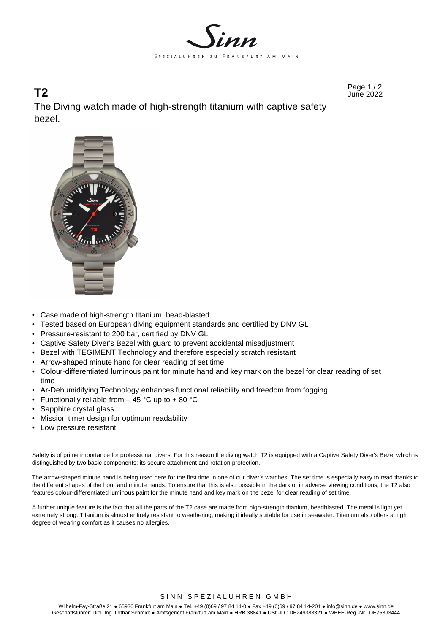

Page 1 / 2 **T2** June 2022 The Diving watch made of high-strength titanium with captive safety bezel.



- Case made of high-strength titanium, bead-blasted
- Tested based on European diving equipment standards and certified by DNV GL
- Pressure-resistant to 200 bar, certified by DNV GL
- Captive Safety Diver's Bezel with guard to prevent accidental misadjustment
- Bezel with TEGIMENT Technology and therefore especially scratch resistant
- Arrow-shaped minute hand for clear reading of set time
- Colour-differentiated luminous paint for minute hand and key mark on the bezel for clear reading of set time
- Ar-Dehumidifying Technology enhances functional reliability and freedom from fogging
- Functionally reliable from  $-$  45 °C up to + 80 °C
- Sapphire crystal glass
- Mission timer design for optimum readability
- Low pressure resistant

Safety is of prime importance for professional divers. For this reason the diving watch T2 is equipped with a Captive Safety Diver's Bezel which is distinguished by two basic components: its secure attachment and rotation protection.

The arrow-shaped minute hand is being used here for the first time in one of our diver's watches. The set time is especially easy to read thanks to the different shapes of the hour and minute hands. To ensure that this is also possible in the dark or in adverse viewing conditions, the T2 also features colour-differentiated luminous paint for the minute hand and key mark on the bezel for clear reading of set time.

A further unique feature is the fact that all the parts of the T2 case are made from high-strength titanium, beadblasted. The metal is light yet extremely strong. Titanium is almost entirely resistant to weathering, making it ideally suitable for use in seawater. Titanium also offers a high degree of wearing comfort as it causes no allergies.